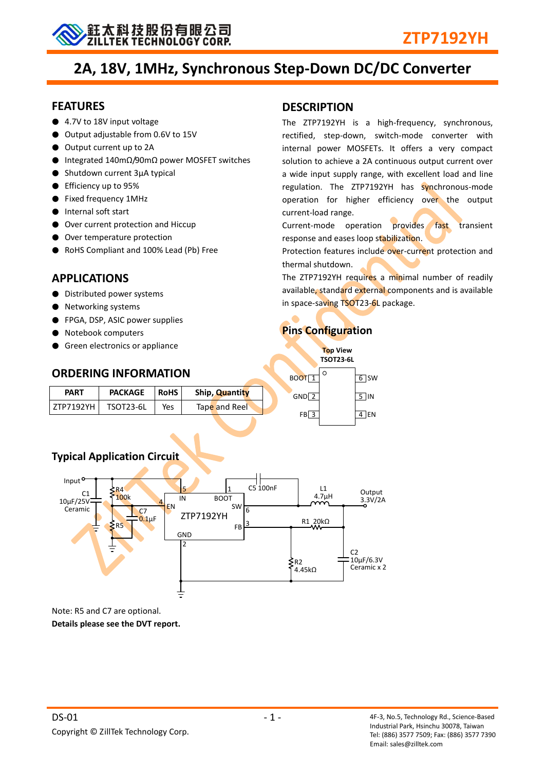

# **2A, 18V, 1MHz, Synchronous Step-Down DC/DC Converter**

#### **FEATURES**

- 4.7V to 18V input voltage
- Output adjustable from 0.6V to 15V
- Output current up to 2A
- Integrated 140mΩ/90mΩ power MOSFET switches
- Shutdown current 3μA typical
- Efficiency up to 95%
- Fixed frequency 1MHz
- Internal soft start
- Over current protection and Hiccup
- Over temperature protection
- RoHS Compliant and 100% Lead (Pb) Free

## **APPLICATIONS**

- Distributed power systems
- **Networking systems**
- FPGA, DSP, ASIC power supplies
- Notebook computers
- Green electronics or appliance

# **DESCRIPTION**

The ZTP7192YH is a high-frequency, synchronous, rectified, step-down, switch-mode converter with internal power MOSFETs. It offers a very compact solution to achieve a 2A continuous output current over a wide input supply range, with excellent load and line regulation. The ZTP7192YH has synchronous-mode operation for higher efficiency over the output current-load range.

Current-mode operation provides fast transient response and eases loop stabilization.

Protection features include over-current protection and thermal shutdown.

The ZTP7192YH requires a minimal number of readily available, standard external components and is available in space-saving TSOT23-6L package.

## **Pins Configuration**

| $\blacksquare$ | Green electronics or appliance |             |                |                   | <b>Top View</b><br><b>TSOT23-6L</b> |            |
|----------------|--------------------------------|-------------|----------------|-------------------|-------------------------------------|------------|
|                | <b>ORDERING INFORMATION</b>    |             |                | BOOT <sub>1</sub> | $\circ$                             | 6 SW       |
| <b>PART</b>    | <b>PACKAGE</b>                 | <b>RoHS</b> | Ship, Quantity | $GND$ 2           |                                     | $5$ IN     |
| ZTP7192YH      | TSOT23-6L                      | Yes         | Tape and Reel  |                   |                                     | <b>IEN</b> |
|                |                                |             |                | FB 3              |                                     |            |

## **Typical Application Circuit**



Note: R5 and C7 are optional. **Details please see the DVT report.**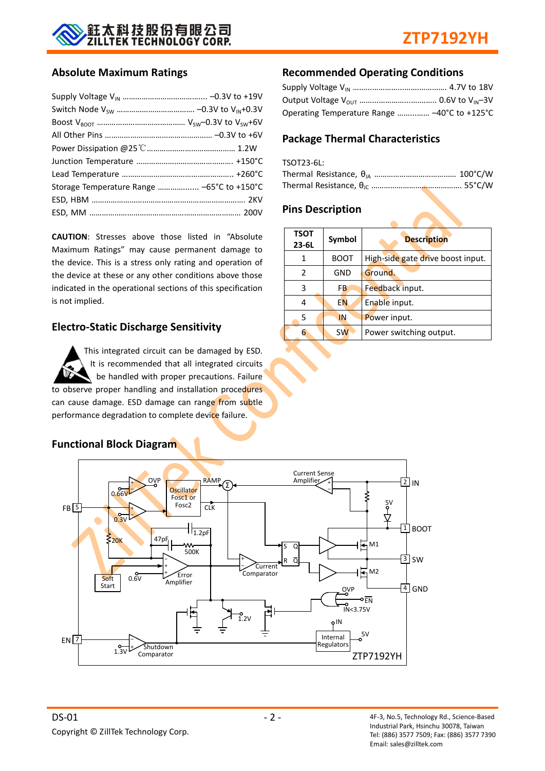

#### **Absolute Maximum Ratings**

| Storage Temperature Range  -65°C to +150°C |  |
|--------------------------------------------|--|
|                                            |  |
|                                            |  |

**CAUTION**: Stresses above those listed in "Absolute Maximum Ratings" may cause permanent damage to the device. This is a stress only rating and operation of the device at these or any other conditions above those indicated in the operational sections of this specification is not implied.

#### **Electro-Static Discharge Sensitivity**

This integrated circuit can be damaged by ESD. It is recommended that all integrated circuits be handled with proper precautions. Failure to observe proper handling and installation procedures can cause damage. ESD damage can range from subtle performance degradation to complete device failure.

### **Recommended Operating Conditions**

| Operating Temperature Range  -40°C to +125°C |  |
|----------------------------------------------|--|

## **Package Thermal Characteristics**

| TSOT23-6L: |  |
|------------|--|
|            |  |
|            |  |

#### **Pins Description**

| <b>TSOT</b><br>Symbol<br>$23 - 6L$ |             | <b>Description</b>                |  |  |
|------------------------------------|-------------|-----------------------------------|--|--|
|                                    | <b>BOOT</b> | High-side gate drive boost input. |  |  |
| 2                                  | GND         | Ground.                           |  |  |
| 3                                  | FB          | Feedback input.                   |  |  |
| 4                                  | <b>EN</b>   | Enable input.                     |  |  |
| 5                                  | IN          | Power input.                      |  |  |
| 6                                  | <b>SW</b>   | Power switching output.           |  |  |

## **Functional Block Diagram**

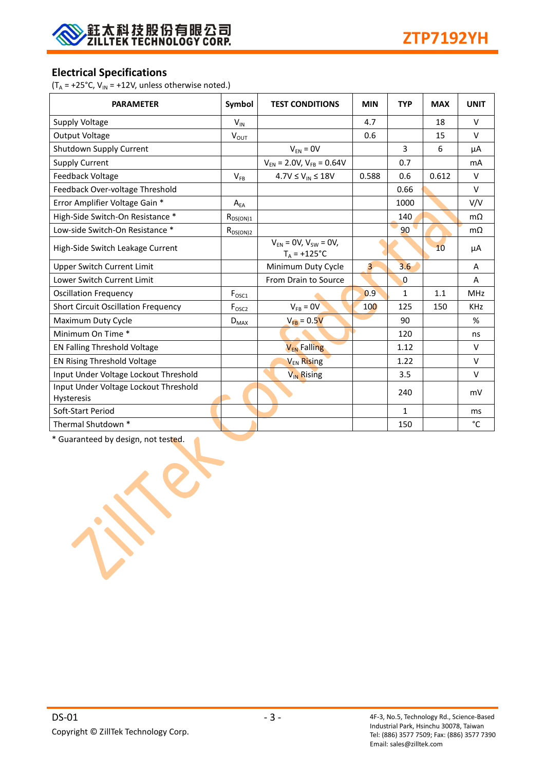

## **Electrical Specifications**

( $T_A$  = +25°C,  $V_{IN}$  = +12V, unless otherwise noted.)

| <b>PARAMETER</b>                                           | Symbol                     | <b>TEST CONDITIONS</b>                         | <b>MIN</b>     | <b>TYP</b>   | <b>MAX</b> | <b>UNIT</b> |
|------------------------------------------------------------|----------------------------|------------------------------------------------|----------------|--------------|------------|-------------|
| Supply Voltage                                             | $V_{IN}$                   |                                                | 4.7            |              | 18         | $\vee$      |
| <b>Output Voltage</b>                                      | $V_{OUT}$                  |                                                | 0.6            |              | 15         | $\vee$      |
| Shutdown Supply Current                                    |                            | $V_{EN} = 0V$                                  |                | 3            | 6          | μA          |
| <b>Supply Current</b>                                      |                            | $V_{EN}$ = 2.0V, $V_{FB}$ = 0.64V              |                | 0.7          |            | mA          |
| Feedback Voltage                                           | $V_{FB}$                   | $4.7V \le V_{IN} \le 18V$                      | 0.588          | 0.6          | 0.612      | $\vee$      |
| Feedback Over-voltage Threshold                            |                            |                                                |                | 0.66         |            | $\vee$      |
| Error Amplifier Voltage Gain *                             | $\mathsf{A}_{\mathsf{EA}}$ |                                                |                | 1000         |            | V/V         |
| High-Side Switch-On Resistance *                           | $R_{DS(ON)1}$              |                                                |                | 140          |            | $m\Omega$   |
| Low-side Switch-On Resistance *                            | $R_{DS(ON)2}$              |                                                |                | 90           |            | $m\Omega$   |
| High-Side Switch Leakage Current                           |                            | $V_{FN} = 0V, V_{SW} = 0V,$<br>$T_A = +125$ °C |                |              | 10         | μA          |
| <b>Upper Switch Current Limit</b>                          |                            | Minimum Duty Cycle                             | $\overline{3}$ | 3.6          |            | A           |
| Lower Switch Current Limit                                 |                            | From Drain to Source                           |                | $\Omega$     |            | A           |
| <b>Oscillation Frequency</b>                               | $F_{\text{OSC1}}$          |                                                | 0.9            | $\mathbf{1}$ | 1.1        | MHz         |
| <b>Short Circuit Oscillation Frequency</b>                 | F <sub>OSC2</sub>          | $V_{FB} = 0V$                                  | 100            | 125          | 150        | <b>KHz</b>  |
| Maximum Duty Cycle                                         | $D_{MAX}$                  | $V_{FB} = 0.5V$                                |                | 90           |            | %           |
| Minimum On Time *                                          |                            |                                                |                | 120          |            | ns          |
| <b>EN Falling Threshold Voltage</b>                        |                            | <b>V<sub>EN</sub></b> Falling                  |                | 1.12         |            | $\vee$      |
| EN Rising Threshold Voltage                                |                            | V <sub>EN</sub> Rising                         |                | 1.22         |            | $\vee$      |
| Input Under Voltage Lockout Threshold                      |                            | V <sub>IN</sub> Rising                         |                | 3.5          |            | $\vee$      |
| Input Under Voltage Lockout Threshold<br><b>Hysteresis</b> |                            |                                                |                | 240          |            | mV          |
| Soft-Start Period                                          |                            |                                                |                | $\mathbf{1}$ |            | ms          |
| Thermal Shutdown *                                         |                            |                                                |                | 150          |            | °C          |

\* Guaranteed by design, not tested.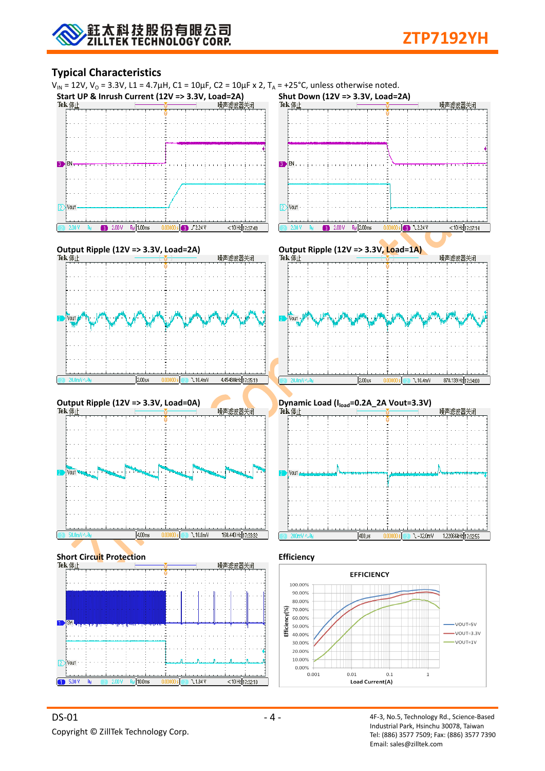### **Typical Characteristics**

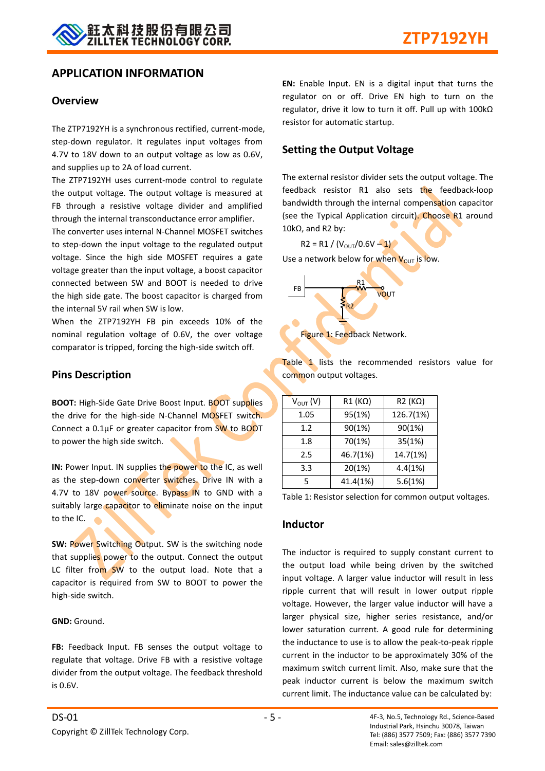### **APPLICATION INFORMATION**

#### **Overview**

The ZTP7192YH is a synchronous rectified, current-mode, step-down regulator. It regulates input voltages from 4.7V to 18V down to an output voltage as low as 0.6V, and supplies up to 2A of load current.

The ZTP7192YH uses current-mode control to regulate the output voltage. The output voltage is measured at FB through a resistive voltage divider and amplified through the internal transconductance error amplifier.

The converter uses internal N-Channel MOSFET switches to step-down the input voltage to the regulated output voltage. Since the high side MOSFET requires a gate voltage greater than the input voltage, a boost capacitor connected between SW and BOOT is needed to drive the high side gate. The boost capacitor is charged from the internal 5V rail when SW is low.

When the ZTP7192YH FB pin exceeds 10% of the nominal regulation voltage of 0.6V, the over voltage comparator is tripped, forcing the high-side switch off.

#### **Pins Description**

**BOOT:** High-Side Gate Drive Boost Input. BOOT supplies the drive for the high-side N-Channel MOSFET switch. Connect a 0.1μF or greater capacitor from SW to BOOT to power the high side switch.

**IN:** Power Input. IN supplies the power to the IC, as well as the step-down converter switches. Drive IN with a 4.7V to 18V power source. Bypass IN to GND with a suitably large capacitor to eliminate noise on the input to the IC.

**SW:** Power Switching Output. SW is the switching node that supplies power to the output. Connect the output LC filter from SW to the output load. Note that a capacitor is required from SW to BOOT to power the high-side switch.

**GND:** Ground.

**FB:** Feedback Input. FB senses the output voltage to regulate that voltage. Drive FB with a resistive voltage divider from the output voltage. The feedback threshold is 0.6V.

**EN:** Enable Input. EN is a digital input that turns the regulator on or off. Drive EN high to turn on the regulator, drive it low to turn it off. Pull up with 100kΩ resistor for automatic startup.

#### **Setting the Output Voltage**

The external resistor divider sets the output voltage. The feedback resistor R1 also sets the feedback-loop bandwidth through the internal compensation capacitor (see the Typical Application circuit). Choose R1 around 10kΩ, and R2 by:

 $R2 = R1 / (V_{OUT}/0.6V - 1)$ 

Use a network below for when  $V_{\text{OUT}}$  is low.



Table 1 lists the recommended resistors value for common output voltages.

| $V_{OUT} (V)$ | $R1(K\Omega)$ | $R2(K\Omega)$ |
|---------------|---------------|---------------|
| 1.05          | 95(1%)        | 126.7(1%)     |
| 1.2           | 90(1%)        | 90(1%)        |
| 1.8           | 70(1%)        | 35(1%)        |
| 2.5           | 46.7(1%)      | 14.7(1%)      |
| 3.3           | 20(1%)        | 4.4(1%)       |
| 5             | 41.4(1%)      | 5.6(1%)       |
|               |               |               |

Table 1: Resistor selection for common output voltages.

#### **Inductor**

The inductor is required to supply constant current to the output load while being driven by the switched input voltage. A larger value inductor will result in less ripple current that will result in lower output ripple voltage. However, the larger value inductor will have a larger physical size, higher series resistance, and/or lower saturation current. A good rule for determining the inductance to use is to allow the peak-to-peak ripple current in the inductor to be approximately 30% of the maximum switch current limit. Also, make sure that the peak inductor current is below the maximum switch current limit. The inductance value can be calculated by: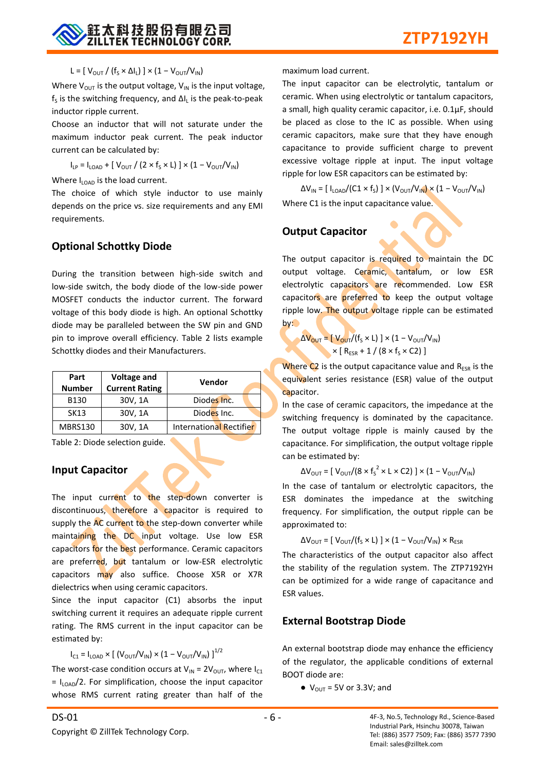

#### L = [  $V_{\text{OUT}}$  / (f<sub>s</sub> × ΔI<sub>L</sub>) ] × (1 –  $V_{\text{OUT}}/V_{\text{IN}}$ )

Where  $V_{OUT}$  is the output voltage,  $V_{IN}$  is the input voltage,  $f_s$  is the switching frequency, and  $\Delta I_L$  is the peak-to-peak inductor ripple current.

Choose an inductor that will not saturate under the maximum inductor peak current. The peak inductor current can be calculated by:

 $I_{LP} = I_{LOAD} + [ V_{OUT} / (2 \times f_S \times L) ] \times (1 - V_{OUT} / V_{IN})$ 

Where  $I_{\text{LOAD}}$  is the load current.

The choice of which style inductor to use mainly depends on the price vs. size requirements and any EMI requirements.

#### **Optional Schottky Diode**

During the transition between high-side switch and low-side switch, the body diode of the low-side power MOSFET conducts the inductor current. The forward voltage of this body diode is high. An optional Schottky diode may be paralleled between the SW pin and GND pin to improve overall efficiency. Table 2 lists example Schottky diodes and their Manufacturers.

| Part<br><b>Number</b> | <b>Voltage and</b><br><b>Current Rating</b> | Vendor                         |
|-----------------------|---------------------------------------------|--------------------------------|
| B130                  | 30V, 1A                                     | Diodes Inc.                    |
| <b>SK13</b>           | 30V, 1A                                     | Diodes Inc.                    |
| MBRS130               | 30V, 1A                                     | <b>International Rectifier</b> |

Table 2: Diode selection guide.

#### **Input Capacitor**

The input current to the step-down converter is discontinuous, therefore a capacitor is required to supply the AC current to the step-down converter while maintaining the DC input voltage. Use low ESR capacitors for the best performance. Ceramic capacitors are preferred, but tantalum or low-ESR electrolytic capacitors may also suffice. Choose X5R or X7R dielectrics when using ceramic capacitors.

Since the input capacitor (C1) absorbs the input switching current it requires an adequate ripple current rating. The RMS current in the input capacitor can be estimated by:

 $I_{C1} = I_{LOAD} \times [(V_{OUT}/V_{IN}) \times (1 - V_{OUT}/V_{IN})]^{1/2}$ 

The worst-case condition occurs at  $V_{IN} = 2V_{OUT}$ , where  $I_{C1}$  $= I_{LOAD}/2$ . For simplification, choose the input capacitor whose RMS current rating greater than half of the maximum load current.

The input capacitor can be electrolytic, tantalum or ceramic. When using electrolytic or tantalum capacitors, a small, high quality ceramic capacitor, i.e. 0.1μF, should be placed as close to the IC as possible. When using ceramic capacitors, make sure that they have enough capacitance to provide sufficient charge to prevent excessive voltage ripple at input. The input voltage ripple for low ESR capacitors can be estimated by:

 $\Delta$ V<sub>IN</sub> = [ I<sub>LOAD</sub>/(C1 × f<sub>S</sub>) ] × (V<sub>OUT</sub>/V<sub>IN</sub>) × (1 – V<sub>OUT</sub>/V<sub>IN</sub>) Where C1 is the input capacitance value.

## **Output Capacitor**

The output capacitor is required to maintain the DC output voltage. Ceramic, tantalum, or low ESR electrolytic capacitors are recommended. Low ESR capacitors are preferred to keep the output voltage ripple low. The output voltage ripple can be estimated  $by:$ 

$$
\Delta V_{\text{OUT}} = [V_{\text{OUT}}/(f_{\text{S}} \times L)] \times (1 - V_{\text{OUT}}/V_{\text{IN}})
$$
  
 
$$
\times [R_{\text{ESR}} + 1 / (8 \times f_{\text{S}} \times C2)]
$$

Where  $C2$  is the output capacitance value and  $R_{ESR}$  is the equivalent series resistance (ESR) value of the output capacitor.

In the case of ceramic capacitors, the impedance at the switching frequency is dominated by the capacitance. The output voltage ripple is mainly caused by the capacitance. For simplification, the output voltage ripple can be estimated by:

$$
\Delta V_{\text{OUT}} = [\ V_{\text{OUT}} / (8 \times f_s^2 \times L \times C2) ] \times (1 - V_{\text{OUT}} / V_{\text{IN}})
$$

In the case of tantalum or electrolytic capacitors, the ESR dominates the impedance at the switching frequency. For simplification, the output ripple can be approximated to:

$$
\Delta V_{\text{OUT}} = [\ V_{\text{OUT}} / (f_{\text{S}} \times L)] \times (1 - V_{\text{OUT}} / V_{\text{IN}}) \times R_{\text{ESR}}
$$

The characteristics of the output capacitor also affect the stability of the regulation system. The ZTP7192YH can be optimized for a wide range of capacitance and ESR values.

#### **External Bootstrap Diode**

An external bootstrap diode may enhance the efficiency of the regulator, the applicable conditions of external BOOT diode are:

 $\bullet$  V<sub>OUT</sub> = 5V or 3.3V; and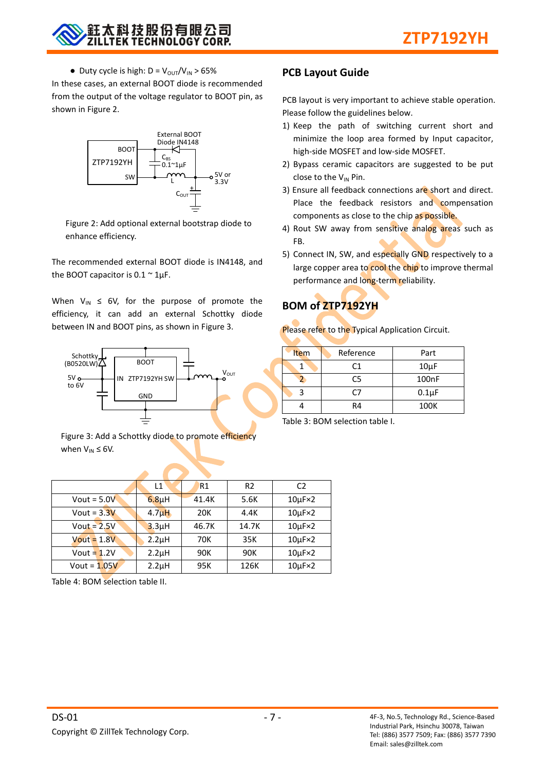• Duty cycle is high:  $D = V_{OUT}/V_{IN} > 65\%$ 

In these cases, an external BOOT diode is recommended from the output of the voltage regulator to BOOT pin, as shown in Figure 2.



Figure 2: Add optional external bootstrap diode to enhance efficiency.

The recommended external BOOT diode is IN4148, and the BOOT capacitor is  $0.1 \sim 1 \mu F$ .

When  $V_{IN} \leq 6V$ , for the purpose of promote the efficiency, it can add an external Schottky diode between IN and BOOT pins, as shown in Figure 3.



Figure 3: Add a Schottky diode to promote efficiency when  $V_{IN} \leq 6V$ .

## **PCB Layout Guide**

PCB layout is very important to achieve stable operation. Please follow the guidelines below.

- 1) Keep the path of switching current short and minimize the loop area formed by Input capacitor, high-side MOSFET and low-side MOSFET.
- 2) Bypass ceramic capacitors are suggested to be put close to the  $V_{IN}$  Pin.
- 3) Ensure all feedback connections are short and direct. Place the feedback resistors and compensation components as close to the chip as possible.
- 4) Rout SW away from sensitive analog areas such as FB.
- 5) Connect IN, SW, and especially GND respectively to a large copper area to cool the chip to improve thermal performance and long-term reliability.

## **BOM of ZTP7192YH**

Please refer to the Typical Application Circuit.

| Item | Reference | Part               |
|------|-----------|--------------------|
|      | C1        | $10\mu F$          |
|      | C5        | 100 <sub>n</sub> F |
|      | C7        | $0.1\mu F$         |
|      | R4        | 100K               |

Table 3: BOM selection table I.

|                | L1                 | R <sub>1</sub> | R <sub>2</sub> | C <sub>2</sub>       |
|----------------|--------------------|----------------|----------------|----------------------|
| Vout = $5.0V$  | $6.8\mu$ H         | 41.4K          | 5.6K           | $10\mu$ F $\times$ 2 |
| Vout = $3.3V$  | 4.7 <sub>u</sub> H | 20K            | 4.4K           | $10\mu$ F $\times$ 2 |
| $Vout = 2.5V$  | 3.3 <sub>µ</sub> H | 46.7K          | 14.7K          | $10\mu$ F $\times$ 2 |
| $Vout = 1.8V$  | 2.2 <sub>µ</sub> H | 70K            | 35K            | $10\mu$ F $\times$ 2 |
| Vout = $1.2V$  | 2.2 <sub>µ</sub> H | 90K            | 90K            | $10\mu$ F $\times$ 2 |
| Vout = $1.05V$ | $2.2\mu$ H         | 95K            | 126K           | $10\mu$ F $\times$ 2 |

Table 4: BOM selection table II.